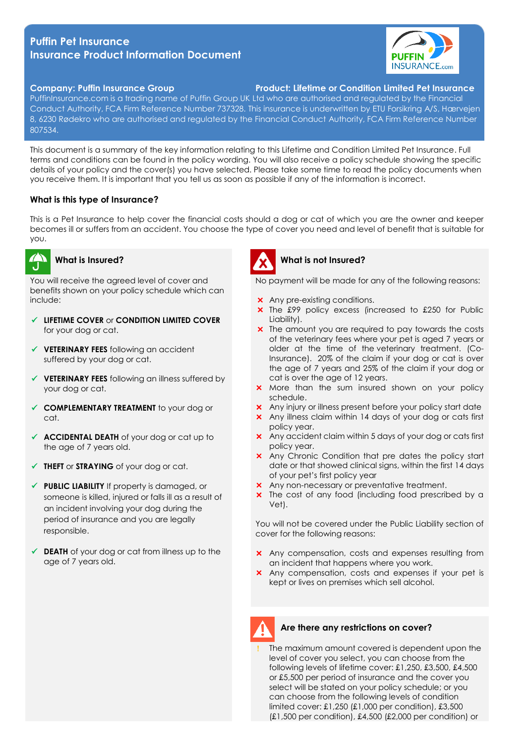# **Puffin Pet Insurance Insurance Product Information Document**



## **Company: Puffin Insurance Group Product: Lifetime or Condition Limited Pet Insurance**

PuffinInsurance.com is a trading name of Puffin Group UK Ltd who are authorised and regulated by the Financial Conduct Authority, FCA Firm Reference Number 737328. This insurance is underwritten by ETU Forsikring A/S, Hærvejen 8, 6230 Rødekro who are authorised and regulated by the Financial Conduct Authority, FCA Firm Reference Number 807534.

This document is a summary of the key information relating to this Lifetime and Condition Limited Pet Insurance. Full terms and conditions can be found in the policy wording. You will also receive a policy schedule showing the specific details of your policy and the cover(s) you have selected. Please take some time to read the policy documents when you receive them. It is important that you tell us as soon as possible if any of the information is incorrect.

## **What is this type of Insurance?**

This is a Pet Insurance to help cover the financial costs should a dog or cat of which you are the owner and keeper becomes ill or suffers from an accident. You choose the type of cover you need and level of benefit that is suitable for you.



#### **What is Insured?**

You will receive the agreed level of cover and benefits shown on your policy schedule which can include:

- **LIFETIME COVER** or **CONDITION LIMITED COVER** for your dog or cat.
- **VETERINARY FEES** following an accident suffered by your dog or cat.
- **VETERINARY FEES** following an illness suffered by your dog or cat.
- **COMPLEMENTARY TREATMENT** to your dog or cat.
- ◆ **ACCIDENTAL DEATH** of your dog or cat up to the age of 7 years old.
- **THEFT** or **STRAYING** of your dog or cat.
- **PUBLIC LIABILITY** If property is damaged, or someone is killed, injured or falls ill as a result of an incident involving your dog during the period of insurance and you are legally responsible.
- ◆ **DEATH** of your dog or cat from illness up to the age of 7 years old.



### **What is not Insured?**

No payment will be made for any of the following reasons:

- **x** Any pre-existing conditions.
- **x** The £99 policy excess (increased to £250 for Public Liability).
- **x** The amount you are required to pay towards the costs of the veterinary fees where your pet is aged 7 years or older at the time of the veterinary treatment. (Co-Insurance). 20% of the claim if your dog or cat is over the age of 7 years and 25% of the claim if your dog or cat is over the age of 12 years.
- **X** More than the sum insured shown on your policy schedule.
- Any injury or illness present before your policy start date
- Any illness claim within 14 days of your dog or cats first policy year.
- Any accident claim within 5 days of your dog or cats first policy year.
- **x** Any Chronic Condition that pre dates the policy start date or that showed clinical signs, within the first 14 days of your pet's first policy year
- Any non-necessary or preventative treatment.
- **x** The cost of any food (including food prescribed by a Vet).

You will not be covered under the Public Liability section of cover for the following reasons:

- **x** Any compensation, costs and expenses resulting from an incident that happens where you work.
- **x** Any compensation, costs and expenses if your pet is kept or lives on premises which sell alcohol.



## **Are there any restrictions on cover?**

 The maximum amount covered is dependent upon the level of cover you select, you can choose from the following levels of lifetime cover: £1,250, £3,500, £4,500 or £5,500 per period of insurance and the cover you select will be stated on your policy schedule; or you can choose from the following levels of condition limited cover: £1,250 (£1,000 per condition), £3,500 (£1,500 per condition), £4,500 (£2,000 per condition) or